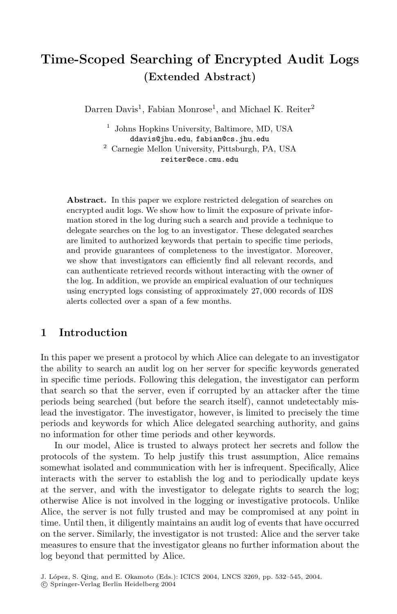# **Time-Scoped Searching of Encrypted Audit Logs (Extended Abstract)**

Darren Davis<sup>1</sup>, Fabian Monrose<sup>1</sup>, and Michael K. Reiter<sup>2</sup>

<sup>1</sup> Johns Hopkins University, Baltimore, MD, USA ddavis@jhu.edu, fabian@cs.jhu.edu

<sup>2</sup> Carnegie Mellon University, Pittsburgh, PA, USA reiter@ece.cmu.edu

Abstract. In this paper we explore restricted delegation of searches on encrypted audit logs. We show how to limit the exposure of private information stored in the log during such a search and provide a technique to delegate searches on the log to an investigator. These delegated searches are limited to authorized keywords that pertain to specific time periods, and provide guarantees of completeness to the investigator. Moreover, we show that investigators can efficiently find all relevant records, and can authenticate retrieved records without interacting with the owner of the log. In addition, we provide an empirical evaluation of our techniques using encrypted logs consisting of approximately 27*,* 000 records of IDS alerts collected over a span of a few months.

## **1 Introduction**

In this paper we present a protocol by which Alice can delegate to an investigator the ability to search an audit log on her server for specific keywords generated in specific time periods. Following this delegation, the investigator can perform that search so that the server, even if corrupted by an attacker after the time periods being searched (but before the search itself), cannot undetectably mislead the investigator. The investigator, however, is limited to precisely the time periods and keywords for which Alice delegated searching authority, and gains no information for other time periods and other keywords.

In our model, Alice is trusted to always protect her secrets and follow the protocols of the system. To help justify this trust assumption, Alice remains somewhat isolated and communication with her is infrequent. Specifically, Alice interacts with the server to establish the log and to periodically update keys at the server, and with the investigator to delegate rights to search the log; otherwise Alice is not involved in the logging or investigative protocols. Unlike Alice, the server is not fully trusted and may be compromised at any point in time. Until then, it diligently maintains an audit log of events that have occurred on the server. Similarly, the investigator is not trusted: Alice and the server take measures to ensure that the investigator gleans no further information about the log beyond that permitted by Alice.

J. López, S. Qing, and E. Okamoto (Eds.): ICICS 2004, LNCS 3269, pp. 532-545, 2004. c Springer-Verlag Berlin Heidelberg 2004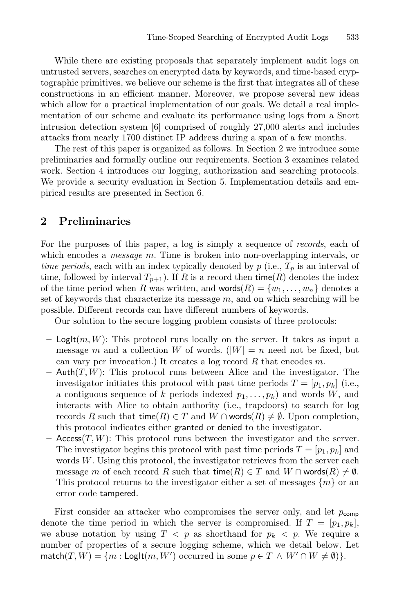While there are existing proposals that separately implement audit logs on untrusted servers, searches on encrypted data by keywords, and time-based cryptographic primitives, we believe our scheme is the first that integrates all of these constructions in an efficient manner. Moreover, we propose several new ideas which allow for a practical implementation of our goals. We detail a real implementation of our scheme and evaluate its performance using logs from a Snort intrusion detection system [6] comprised of roughly 27,000 alerts and includes attacks from nearly 1700 distinct IP address during a span of a few months.

The rest of this paper is organized as follows. In Section 2 we introduce some preliminaries and formally outline our requirements. Section 3 examines related work. Section 4 introduces our logging, authorization and searching protocols. We provide a security evaluation in Section 5. Implementation details and empirical results are presented in Section 6.

## **2 Preliminaries**

For the purposes of this paper, a log is simply a sequence of *records*, each of which encodes a *message* m. Time is broken into non-overlapping intervals, or *time periods*, each with an index typically denoted by  $p$  (i.e.,  $T_p$  is an interval of time, followed by interval  $T_{p+1}$ ). If R is a record then time(R) denotes the index of the time period when R was written, and words $(R) = \{w_1, \ldots, w_n\}$  denotes a set of keywords that characterize its message  $m$ , and on which searching will be possible. Different records can have different numbers of keywords.

Our solution to the secure logging problem consists of three protocols:

- **–** LogIt(m, W): This protocol runs locally on the server. It takes as input a message m and a collection W of words.  $(|W| = n$  need not be fixed, but can vary per invocation.) It creates a log record  $R$  that encodes  $m$ .
- **–** Auth(T,W): This protocol runs between Alice and the investigator. The investigator initiates this protocol with past time periods  $T = [p_1, p_k]$  (i.e., a contiguous sequence of k periods indexed  $p_1, \ldots, p_k$  and words W, and interacts with Alice to obtain authority (i.e., trapdoors) to search for log records R such that time(R)  $\in$  T and W ∩ words(R)  $\neq$  Ø. Upon completion, this protocol indicates either granted or denied to the investigator.
- $-$  Access $(T, W)$ : This protocol runs between the investigator and the server. The investigator begins this protocol with past time periods  $T = [p_1, p_k]$  and words W. Using this protocol, the investigator retrieves from the server each message m of each record R such that time(R)  $\in T$  and  $W \cap \text{words}(R) \neq \emptyset$ . This protocol returns to the investigator either a set of messages  $\{m\}$  or an error code tampered.

First consider an attacker who compromises the server only, and let  $p_{\text{comp}}$ denote the time period in which the server is compromised. If  $T = [p_1, p_k]$ , we abuse notation by using  $T < p$  as shorthand for  $p_k < p$ . We require a number of properties of a secure logging scheme, which we detail below. Let  $match(T, W) = \{m : \text{Loglt}(m, W') \text{ occurred in some } p \in T \land W' \cap W \neq \emptyset) \}.$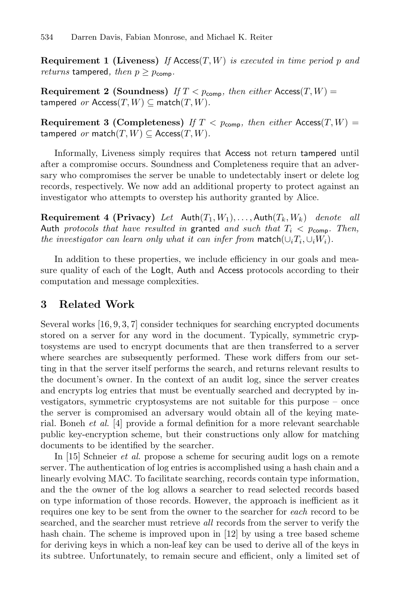**Requirement 1 (Liveness)** *If* Access(T,W) *is executed in time period* p *and returns* tampered, then  $p \geq p_{\text{comp}}$ .

**Requirement 2 (Soundness)** *If*  $T < p_{\text{comp}}$ *, then either* Access(T,  $W$ ) = tampered *or*  $\text{Access}(T, W) \subseteq \text{match}(T, W)$ .

**Requirement 3 (Completeness)** *If*  $T < p_{\text{comp}}$ *, then either* Access(T, W) = tampered *or* match $(T, W) \subseteq$  Access $(T, W)$ .

Informally, Liveness simply requires that Access not return tampered until after a compromise occurs. Soundness and Completeness require that an adversary who compromises the server be unable to undetectably insert or delete log records, respectively. We now add an additional property to protect against an investigator who attempts to overstep his authority granted by Alice.

**Requirement 4 (Privacy)** Let  $\text{Auth}(T_1, W_1), \ldots, \text{Auth}(T_k, W_k)$  denote all Auth *protocols that have resulted in* granted *and such that*  $T_i$  <  $p_{\text{comp}}$ . Then, *the investigator can learn only what it can infer from* match $(\cup_i T_i, \cup_i W_i)$ .

In addition to these properties, we include efficiency in our goals and measure quality of each of the LogIt, Auth and Access protocols according to their computation and message complexities.

## **3 Related Work**

Several works [16, 9, 3, 7] consider techniques for searching encrypted documents stored on a server for any word in the document. Typically, symmetric cryptosystems are used to encrypt documents that are then transferred to a server where searches are subsequently performed. These work differs from our setting in that the server itself performs the search, and returns relevant results to the document's owner. In the context of an audit log, since the server creates and encrypts log entries that must be eventually searched and decrypted by investigators, symmetric cryptosystems are not suitable for this purpose – once the server is compromised an adversary would obtain all of the keying material. Boneh *et al.* [4] provide a formal definition for a more relevant searchable public key-encryption scheme, but their constructions only allow for matching documents to be identified by the searcher.

In [15] Schneier *et al.* propose a scheme for securing audit logs on a remote server. The authentication of log entries is accomplished using a hash chain and a linearly evolving MAC. To facilitate searching, records contain type information, and the the owner of the log allows a searcher to read selected records based on type information of those records. However, the approach is inefficient as it requires one key to be sent from the owner to the searcher for *each* record to be searched, and the searcher must retrieve *all* records from the server to verify the hash chain. The scheme is improved upon in [12] by using a tree based scheme for deriving keys in which a non-leaf key can be used to derive all of the keys in its subtree. Unfortunately, to remain secure and efficient, only a limited set of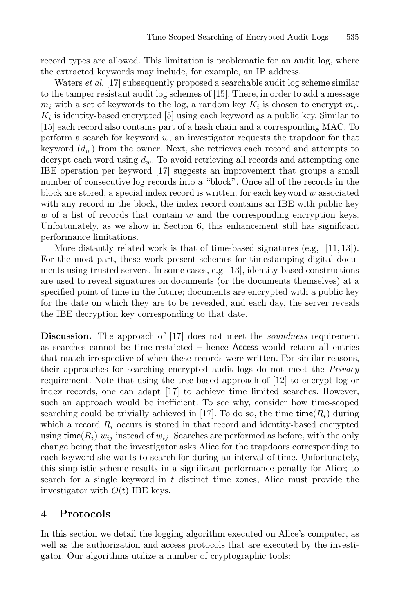record types are allowed. This limitation is problematic for an audit log, where the extracted keywords may include, for example, an IP address.

Waters *et al.* [17] subsequently proposed a searchable audit log scheme similar to the tamper resistant audit log schemes of [15]. There, in order to add a message  $m_i$  with a set of keywords to the log, a random key  $K_i$  is chosen to encrypt  $m_i$ .  $K_i$  is identity-based encrypted [5] using each keyword as a public key. Similar to [15] each record also contains part of a hash chain and a corresponding MAC. To perform a search for keyword  $w$ , an investigator requests the trapdoor for that keyword  $(d_w)$  from the owner. Next, she retrieves each record and attempts to decrypt each word using  $d_w$ . To avoid retrieving all records and attempting one IBE operation per keyword [17] suggests an improvement that groups a small number of consecutive log records into a "block". Once all of the records in the block are stored, a special index record is written; for each keyword  $w$  associated with any record in the block, the index record contains an IBE with public key  $w$  of a list of records that contain  $w$  and the corresponding encryption keys. Unfortunately, as we show in Section 6, this enhancement still has significant performance limitations.

More distantly related work is that of time-based signatures (e.g,  $[11, 13]$ ). For the most part, these work present schemes for timestamping digital documents using trusted servers. In some cases, e.g [13], identity-based constructions are used to reveal signatures on documents (or the documents themselves) at a specified point of time in the future; documents are encrypted with a public key for the date on which they are to be revealed, and each day, the server reveals the IBE decryption key corresponding to that date.

**Discussion.** The approach of [17] does not meet the *soundness* requirement as searches cannot be time-restricted – hence Access would return all entries that match irrespective of when these records were written. For similar reasons, their approaches for searching encrypted audit logs do not meet the *Privacy* requirement. Note that using the tree-based approach of [12] to encrypt log or index records, one can adapt [17] to achieve time limited searches. However, such an approach would be inefficient. To see why, consider how time-scoped searching could be trivially achieved in [17]. To do so, the time time( $R_i$ ) during which a record  $R_i$  occurs is stored in that record and identity-based encrypted using time( $R_i$ )| $w_{ij}$  instead of  $w_{ij}$ . Searches are performed as before, with the only change being that the investigator asks Alice for the trapdoors corresponding to each keyword she wants to search for during an interval of time. Unfortunately, this simplistic scheme results in a significant performance penalty for Alice; to search for a single keyword in  $t$  distinct time zones, Alice must provide the investigator with  $O(t)$  IBE keys.

## **4 Protocols**

In this section we detail the logging algorithm executed on Alice's computer, as well as the authorization and access protocols that are executed by the investigator. Our algorithms utilize a number of cryptographic tools: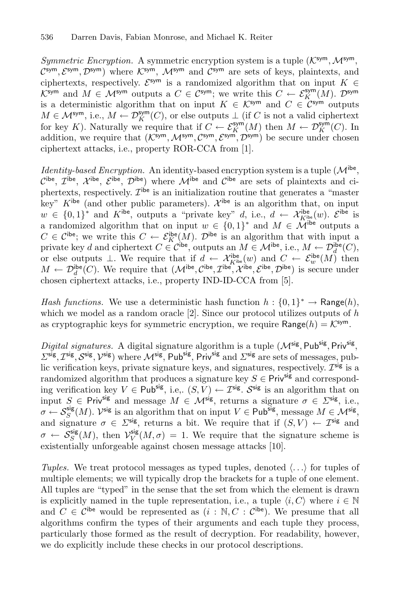*Symmetric Encryption.* A symmetric encryption system is a tuple  $(\mathcal{K}^{\text{sym}},\mathcal{M}^{\text{sym}},$  $\mathcal{C}^{\text{sym}}, \mathcal{E}^{\text{sym}}, \mathcal{D}^{\text{sym}}$ ) where  $\mathcal{K}^{\text{sym}}, \mathcal{M}^{\text{sym}}$  and  $\mathcal{C}^{\text{sym}}$  are sets of keys, plaintexts, and ciphertexts, respectively.  $\mathcal{E}^{\text{sym}}$  is a randomized algorithm that on input  $K \in$  $\mathcal{K}^{\mathsf{sym}}$  and  $M \in \mathcal{M}^{\mathsf{sym}}$  outputs a  $C \in \mathcal{C}^{\mathsf{sym}}$ ; we write this  $C \leftarrow \mathcal{E}_K^{\mathsf{sym}}(M)$ .  $\mathcal{D}^{\mathsf{sym}}$ is a deterministic algorithm that on input  $K \in \mathcal{K}^{\mathsf{sym}}$  and  $C \in \mathcal{C}^{\mathsf{sym}}$  outputs  $M \in \mathcal{M}^{\text{sym}}$ , i.e.,  $M \leftarrow \mathcal{D}_K^{\text{sym}}(C)$ , or else outputs  $\perp$  (if C is not a valid ciphertext for key K). Naturally we require that if  $C \leftarrow \mathcal{E}_K^{\text{sym}}(M)$  then  $M \leftarrow \mathcal{D}_K^{\text{sym}}(C)$ . In addition, we require that  $(K^{sym}, \mathcal{M}^{sym}, \mathcal{C}^{sym}, \mathcal{E}^{sym}, \mathcal{D}^{sym})$  be secure under chosen ciphertext attacks, i.e., property ROR-CCA from [1].

*Identity-based Encryption.* An identity-based encryption system is a tuple  $(\mathcal{M}^{ib}$ , Cibe,  $\mathcal{I}^{\text{ibe}}, \ \mathcal{X}^{\text{ibe}}, \ \mathcal{E}^{\text{ibe}}, \ \mathcal{D}^{\text{ibe}}$ ) where  $\mathcal{M}^{\text{ibe}}$  and  $\mathcal{C}^{\text{ibe}}$  are sets of plaintexts and ciphertexts, respectively.  $\mathcal{I}^{\dot{\mathsf{b}}\mathsf{e}}$  is an initialization routine that generates a "master key"  $K^{ibe}$  (and other public parameters).  $\mathcal{X}^{ibe}$  is an algorithm that, on input  $w \in \{0,1\}^*$  and  $K^{\text{ibe}}$ , outputs a "private key" d, i.e.,  $d \leftarrow \mathcal{X}_{K^{\text{ibe}}}(w)$ .  $\mathcal{E}^{\text{ibe}}$  is a randomized algorithm that on input  $w \in \{0,1\}^*$  and  $M \in \mathcal{\hat{M}}^{\text{ibe}}$  outputs a  $C \in \mathcal{C}^{\text{ibe}}$ ; we write this  $C \leftarrow \mathcal{E}_K^{\text{ibe}}(M)$ .  $\mathcal{D}^{\text{ibe}}$  is an algorithm that with input a private key d and ciphertext  $C \in \mathcal{C}^{\text{ibe}}$ , outputs an  $M \in \mathcal{M}^{\text{ibe}}$ , i.e.,  $M \leftarrow \mathcal{D}_d^{\text{ibe}}(C)$ , or else outputs  $\perp$ . We require that if  $d \leftarrow \mathcal{X}_{K^{\text{ibe}}}(w)$  and  $C \leftarrow \mathcal{E}_{w}^{\text{ibe}}(M)$  then  $M \leftarrow \mathcal{D}_d^{\text{ibe}}(C)$ . We require that  $(\mathcal{M}^{\text{ibe}}, \mathcal{C}^{\text{ibe}}, \mathcal{I}^{\text{ibe}}, \mathcal{E}^{\text{ibe}}, \mathcal{D}^{\text{ibe}})$  is secure under chosen ciphertext attacks, i.e., property IND-ID-CCA from [5].

*Hash functions.* We use a deterministic hash function  $h : \{0,1\}^* \to \mathsf{Range}(h)$ , which we model as a random oracle  $[2]$ . Since our protocol utilizes outputs of h as cryptographic keys for symmetric encryption, we require  $\mathsf{Range}(h) = \mathcal{K}^{\mathsf{sym}}$ .

*Digital signatures.* A digital signature algorithm is a tuple  $(M^{\text{sig}}, \text{Pub}^{\text{sig}}, \text{Priv}^{\text{sig}})$  $\Sigma^{\text{sig}}$ ,  $\mathcal{I}^{\text{sig}}$ ,  $\mathcal{S}^{\text{sig}}$ ,  $\mathcal{V}^{\text{sig}}$ ) where  $\mathcal{M}^{\text{sig}}$ ,  $\mathsf{Pub}^{\text{sig}}$ ,  $\mathsf{Priv}^{\text{sig}}$  and  $\Sigma^{\text{sig}}$  are sets of messages, public verification keys, private signature keys, and signatures, respectively.  $\mathcal{I}^{\text{sig}}$  is a randomized algorithm that produces a signature key  $S \in \mathsf{Priv}^{\mathsf{sig}}$  and corresponding verification key  $V \in \mathsf{Pub^{sig}}$ , i.e.,  $(S, V) \leftarrow \mathcal{I}^{sig}$ .  $\mathcal{S}^{sig}$  is an algorithm that on input  $S \in \text{Priv}^{\text{sig}}$  and message  $M \in \mathcal{M}^{\text{sig}}$ , returns a signature  $\sigma \in \Sigma^{\text{sig}}$ , i.e.,  $\sigma \leftarrow \mathcal{S}_S^{\text{sig}}(M)$ .  $\mathcal{V}^{\text{sig}}$  is an algorithm that on input  $V \in \text{Pub}^{\text{sig}}$ , message  $M \in \mathcal{M}^{\text{sig}}$ , and signature  $\sigma \in \Sigma^{\text{sig}}$ , returns a bit. We require that if  $(S, V) \leftarrow \mathcal{I}^{\text{sig}}$  and  $\sigma \leftarrow S_S^{\text{sig}}(M)$ , then  $\mathcal{V}_V^{\text{sig}}(M,\sigma) = 1$ . We require that the signature scheme is existentially unforgeable against chosen message attacks [10].

Tuples. We treat protocol messages as typed tuples, denoted  $\langle \ldots \rangle$  for tuples of multiple elements; we will typically drop the brackets for a tuple of one element. All tuples are "typed" in the sense that the set from which the element is drawn is explicitly named in the tuple representation, i.e., a tuple  $\langle i, C \rangle$  where  $i \in \mathbb{N}$ and  $C \in \mathcal{C}^{\text{ibe}}$  would be represented as  $(i : \mathbb{N}, C : \mathcal{C}^{\text{ibe}})$ . We presume that all algorithms confirm the types of their arguments and each tuple they process, particularly those formed as the result of decryption. For readability, however, we do explicitly include these checks in our protocol descriptions.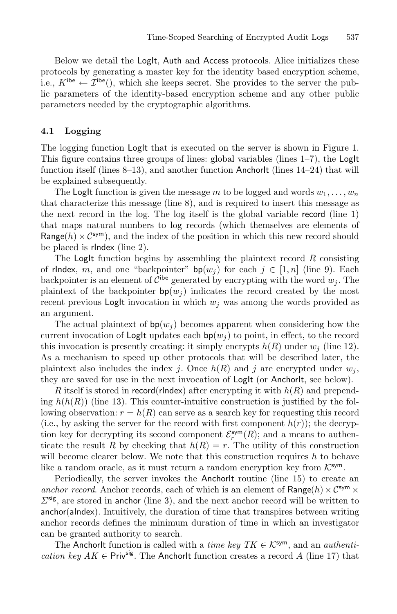Below we detail the LogIt, Auth and Access protocols. Alice initializes these protocols by generating a master key for the identity based encryption scheme, i.e.,  $K^{ibe} \leftarrow \mathcal{I}^{ibe}$ ), which she keeps secret. She provides to the server the public parameters of the identity-based encryption scheme and any other public parameters needed by the cryptographic algorithms.

#### **4.1 Logging**

The logging function **LogIt** that is executed on the server is shown in Figure 1. This figure contains three groups of lines: global variables (lines  $1-7$ ), the LogIt function itself (lines  $8-13$ ), and another function AnchorIt (lines  $14-24$ ) that will be explained subsequently.

The LogIt function is given the message m to be logged and words  $w_1, \ldots, w_n$ that characterize this message (line 8), and is required to insert this message as the next record in the log. The log itself is the global variable record (line 1) that maps natural numbers to log records (which themselves are elements of Range(h)  $\times$  C<sup>sym</sup>), and the index of the position in which this new record should be placed is rIndex (line 2).

The LogIt function begins by assembling the plaintext record  $R$  consisting of rIndex, m, and one "backpointer"  $bp(w_i)$  for each  $j \in [1, n]$  (line 9). Each backpointer is an element of  $\mathcal{C}^{\text{ibe}}$  generated by encrypting with the word  $w_j$ . The plaintext of the backpointer  $bp(w_i)$  indicates the record created by the most recent previous LogIt invocation in which  $w_i$  was among the words provided as an argument.

The actual plaintext of  $bp(w_i)$  becomes apparent when considering how the current invocation of LogIt updates each  $bp(w_i)$  to point, in effect, to the record this invocation is presently creating: it simply encrypts  $h(R)$  under  $w_i$  (line 12). As a mechanism to speed up other protocols that will be described later, the plaintext also includes the index j. Once  $h(R)$  and j are encrypted under  $w_i$ , they are saved for use in the next invocation of LogIt (or AnchorIt, see below).

R itself is stored in record(rlndex) after encrypting it with  $h(R)$  and prepending  $h(h(R))$  (line 13). This counter-intuitive construction is justified by the following observation:  $r = h(R)$  can serve as a search key for requesting this record (i.e., by asking the server for the record with first component  $h(r)$ ); the decryption key for decrypting its second component  $\mathcal{E}_r^{\text{sym}}(R)$ ; and a means to authenticate the result R by checking that  $h(R) = r$ . The utility of this construction will become clearer below. We note that this construction requires  $h$  to behave like a random oracle, as it must return a random encryption key from  $K^{\text{sym}}$ .

Periodically, the server invokes the AnchorIt routine (line 15) to create an *anchor record*. Anchor records, each of which is an element of  $Range(h) \times C^{sym} \times$  $\Sigma^{\text{sig}}$ , are stored in anchor (line 3), and the next anchor record will be written to anchor(aIndex). Intuitively, the duration of time that transpires between writing anchor records defines the minimum duration of time in which an investigator can be granted authority to search.

The Anchorit function is called with a *time key*  $TK \in \mathcal{K}^{\text{sym}}$ , and an *authentication key AK*  $\in$  Priv<sup>sig</sup>. The AnchorIt function creates a record A (line 17) that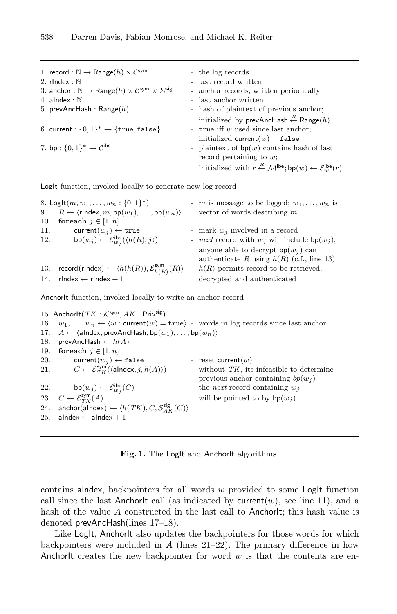| 1. record : $\mathbb{N} \to \mathsf{Range}(h) \times C^{\mathsf{sym}}$                              | - the log records                                                                                                          |
|-----------------------------------------------------------------------------------------------------|----------------------------------------------------------------------------------------------------------------------------|
| 2. $r$ Index: $\mathbb N$                                                                           | - last record written                                                                                                      |
| 3. anchor : $\mathbb{N} \to \mathsf{Range}(h) \times C^{\mathsf{sym}} \times \Sigma^{\mathsf{sig}}$ | - anchor records; written periodically                                                                                     |
| 4. alndex : $\mathbb N$                                                                             | - last anchor written                                                                                                      |
| 5. prevAncHash : Range $(h)$                                                                        | - hash of plaintext of previous anchor;                                                                                    |
|                                                                                                     | initialized by prevAncHash $\stackrel{R}{\leftarrow}$ Range(h)                                                             |
| 6. current : $\{0,1\}^* \rightarrow \{\text{true}, \text{false}\}$                                  | - true iff $w$ used since last anchor;                                                                                     |
|                                                                                                     | initialized current $(w)$ = false                                                                                          |
| 7. bp : $\{0, 1\}^* \to C^{ibe}$                                                                    | - plaintext of $bp(w)$ contains hash of last                                                                               |
|                                                                                                     | record pertaining to $w$ ;                                                                                                 |
|                                                                                                     | initialized with $r \stackrel{R}{\leftarrow} \mathcal{M}^{\text{ibe}}$ ; bp $(w) \leftarrow \mathcal{E}^{\text{ibe}}_w(r)$ |

LogIt function, invoked locally to generate new log record

|     | 8. LogIt $(m, w_1, \ldots, w_n : \{0, 1\}^*)$                                                | - <i>m</i> is message to be logged; $w_1, \ldots, w_n$ is                           |
|-----|----------------------------------------------------------------------------------------------|-------------------------------------------------------------------------------------|
| 9.  | $R \leftarrow \langle \textsf{rIndex}, m, \textsf{bp}(w_1), \dots, \textsf{bp}(w_n) \rangle$ | vector of words describing $m$                                                      |
| 10. | for each $j \in [1, n]$                                                                      |                                                                                     |
| 11. | current $(w_i) \leftarrow \text{true}$                                                       | - mark $w_i$ involved in a record                                                   |
| 12. | $\mathsf{bp}(w_j) \leftarrow \mathcal{E}^{\mathsf{ibe}}_{w_j}(\langle h(R), j \rangle)$      | - <i>next</i> record with $w_i$ will include $bp(w_i)$ ;                            |
|     |                                                                                              | anyone able to decrypt $bp(w_j)$ can<br>authenticate R using $h(R)$ (c.f., line 13) |
| 13. | record (rIndex) $\leftarrow \langle h(h(R)), \mathcal{E}_{h(R)}^{\mathsf{sym}}(R) \rangle$   | - $h(R)$ permits record to be retrieved,                                            |
| 14. | $r$ Index $\leftarrow$ rIndex $+1$                                                           | decrypted and authenticated                                                         |
|     |                                                                                              |                                                                                     |

AnchorIt function, invoked locally to write an anchor record

15. AnchorIt( $TK : \mathcal{K}^{\text{sym}}, AK : \text{Priv}^{\text{sig}})$ 16.  $w_1, \ldots, w_n \leftarrow \langle w : \text{current}(w) = \text{true} \rangle$  - words in log records since last anchor 17.  $A \leftarrow \langle \text{alndex}, \text{prevArchclash}, \text{bp}(w_1), \dots, \text{bp}(w_n) \rangle$ 18. prevAncHash  $\leftarrow h(A)$ 19. **foreach**  $j \in [1, n]$ 20. current $(w_i) \leftarrow \texttt{false}$  - reset current $(w)$ 21.  $C \leftarrow \mathcal{E}_{TK}^{\text{sym}}$ - without  $TK$ , its infeasible to determine previous anchor containing  $bp(w_i)$ 22. bp $(w_i) \leftarrow \mathcal{E}_{w_i}^{\text{ibe}}$ - the *next* record containing  $w_j$ 23.  $C \leftarrow \mathcal{E}_{TK}^{\text{sym}}$ will be pointed to by  $bp(w_i)$ 24. anchor(aIndex)  $\leftarrow \langle h(TK), C, \mathcal{S}_{AK}^{\text{sig}}(C) \rangle$ 25. aIndex  $\leftarrow$  aIndex  $+1$ 

Fig. 1. The LogIt and AnchorIt algorithms

contains alndex, backpointers for all words  $w$  provided to some LogIt function call since the last AnchorIt call (as indicated by current $(w)$ , see line 11), and a hash of the value A constructed in the last call to AnchorIt; this hash value is denoted prevAncHash(lines 17–18).

Like LogIt, AnchorIt also updates the backpointers for those words for which backpointers were included in  $A$  (lines 21–22). The primary difference in how AnchorIt creates the new backpointer for word  $w$  is that the contents are en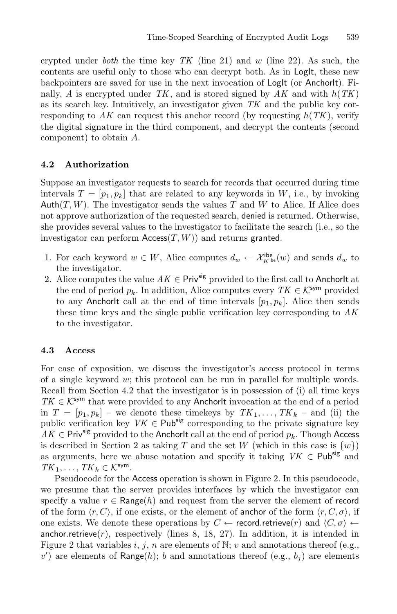crypted under *both* the time key *TK* (line 21) and w (line 22). As such, the contents are useful only to those who can decrypt both. As in Log<sub>It, these new</sub> backpointers are saved for use in the next invocation of LogIt (or AnchorIt). Finally, A is encrypted under  $TK$ , and is stored signed by  $AK$  and with  $h(TK)$ as its search key. Intuitively, an investigator given *TK* and the public key corresponding to  $AK$  can request this anchor record (by requesting  $h(TK)$ , verify the digital signature in the third component, and decrypt the contents (second component) to obtain A.

#### **4.2 Authorization**

Suppose an investigator requests to search for records that occurred during time intervals  $T = [p_1, p_k]$  that are related to any keywords in W, i.e., by invoking Auth $(T, W)$ . The investigator sends the values T and W to Alice. If Alice does not approve authorization of the requested search, denied is returned. Otherwise, she provides several values to the investigator to facilitate the search (i.e., so the investigator can perform  $\text{Access}(T, W)$  and returns granted.

- 1. For each keyword  $w \in W$ , Alice computes  $d_w \leftarrow \mathcal{X}_{K^{ib\mathbf{e}}}^{ib\mathbf{e}}(w)$  and sends  $d_w$  to the investigator.
- 2. Alice computes the value  $AK \in \mathsf{Priv}^{\mathsf{sig}}$  provided to the first call to AnchorIt at the end of period  $p_k$ . In addition, Alice computes every  $TK \in \mathcal{K}^{\text{sym}}$  provided to any AnchorIt call at the end of time intervals  $[p_1, p_k]$ . Alice then sends these time keys and the single public verification key corresponding to *AK* to the investigator.

#### **4.3 Access**

For ease of exposition, we discuss the investigator's access protocol in terms of a single keyword w; this protocol can be run in parallel for multiple words. Recall from Section 4.2 that the investigator is in possession of (i) all time keys  $TK \in \mathcal{K}^{\text{sym}}$  that were provided to any AnchorIt invocation at the end of a period in  $T = [p_1, p_k]$  – we denote these timekeys by  $TK_1, \ldots, TK_k$  – and (ii) the public verification key  $VK \in \mathsf{Pub^{sig}}$  corresponding to the private signature key  $AK \in$  Priv<sup>sig</sup> provided to the AnchorIt call at the end of period  $p_k$ . Though Access is described in Section 2 as taking T and the set W (which in this case is  $\{w\}$ ) as arguments, here we abuse notation and specify it taking  $VK \in \mathsf{Pub^{sig}}$  and  $TK_1, \ldots, TK_k \in \mathcal{K}^{\text{sym}}$ .

Pseudocode for the Access operation is shown in Figure 2. In this pseudocode, we presume that the server provides interfaces by which the investigator can specify a value  $r \in \text{Range}(h)$  and request from the server the element of record of the form  $\langle r, C \rangle$ , if one exists, or the element of anchor of the form  $\langle r, C, \sigma \rangle$ , if one exists. We denote these operations by  $C \leftarrow$  record.retrieve(r) and  $\langle C, \sigma \rangle$   $\leftarrow$ anchor.retrieve $(r)$ , respectively (lines 8, 18, 27). In addition, it is intended in Figure 2 that variables i, j, n are elements of N; v and annotations thereof (e.g.,  $v'$ ) are elements of Range(h); b and annotations thereof (e.g.,  $b_j$ ) are elements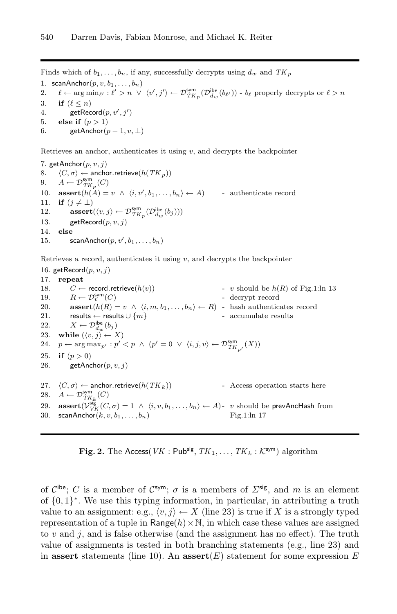Finds which of  $b_1, \ldots, b_n$ , if any, successfully decrypts using  $d_w$  and  $TK_p$ 

1. scanAnchor $(p, v, b_1, \ldots, b_n)$ 

2.  $\ell \leftarrow \arg \min_{\ell'} : \ell' > n \ \lor \ \langle v', j' \rangle \leftarrow \mathcal{D}_{TK_p}^{\text{sym}}(\mathcal{D}_{d_w}^{\text{ibe}}(b_{\ell'})) - b_{\ell} \text{ properly decrypts or } \ell > n$ 3. **if**  $(\ell \leq n)$ 

4. getRecord $(p, v', j')$ 

5. **else if**  $(p > 1)$ 

6. getAnchor $(p-1, v, \perp)$ 

Retrieves an anchor, authenticates it using  $v$ , and decrypts the backpointer

7. getAnchor $(p, v, j)$ 8.  $\langle C, \sigma \rangle \leftarrow$  anchor. retrieve $(h(TK_p))$ 9.  $A \leftarrow \mathcal{D}_{TK_p}^{\text{sym}}(C)$ 10. **assert** $(h(A) = v \land \langle i, v', b_1, \dots, b_n \rangle \leftarrow A)$  - authenticate record 11. **if**  $(j \neq \bot)$ 12. **assert** $(\langle v, j \rangle \leftarrow \mathcal{D}_{TK_p}^{\text{sym}}(\mathcal{D}_{d_w}^{\text{ibe}}(b_j)))$ 13. getRecord $(p, v, j)$ 14. **else** 15. scanAnchor $(p, v', b_1, \ldots, b_n)$ 

Retrieves a record, authenticates it using  $v$ , and decrypts the backpointer

16. getRecord $(p, v, j)$ 17. **repeat** 18.  $C \leftarrow \text{record}.\text{retrieve}(h(v))$  - v should be  $h(R)$  of Fig.1:ln 13 19.  $R \leftarrow \mathcal{D}_v^{\text{sym}}(C)$ - decrypt record 20. **assert** $(h(R) = v \land \langle i, m, b_1, \ldots, b_n \rangle \leftarrow R)$  - hash authenticates record 21. results ← results  $\cup \{m\}$  - accumulate results 22.  $X \leftarrow \mathcal{D}_{d_w}^{\text{ibe}}(b_j)$ 23. **while**  $(\langle v, j \rangle \leftarrow X)$ 24.  $p \leftarrow \arg \max_{p'} : p' < p \land (p' = 0 \lor \langle i, j, v \rangle \leftarrow \mathcal{D}_{TK_{p'}}^{\text{sym}}(X))$ 25. **if**  $(p > 0)$ 26. getAnchor $(p, v, j)$ 27.  $\langle C, \sigma \rangle$  ← anchor.retrieve( $h(TK_k)$ ) - Access operation starts here 28.  $A \leftarrow \mathcal{D}_{TK_k}^{\text{sym}}(C)$ 29. **assert** $(\mathcal{V}_{VK}^{\text{sig}}(C, \sigma) = 1 \land \langle i, v, b_1, \dots, b_n \rangle \leftarrow A)$ - v should be prevAncHash from 30. scanAnchor $(k, v, b_1, \ldots, b_n)$  Fig.1:ln 17

**Fig. 2.** The Access  $VK$  : Pub<sup>sig</sup>,  $TK_1, \ldots, TK_k : K^{\text{sym}}$  algorithm

of  $\mathcal{C}^{\text{the}}$ ; C is a member of  $\mathcal{C}^{\text{sym}}$ ;  $\sigma$  is a members of  $\Sigma^{\text{sig}}$ , and m is an element of {0, 1}∗. We use this typing information, in particular, in attributing a truth value to an assignment: e.g.,  $\langle v, j \rangle \leftarrow X$  (line 23) is true if X is a strongly typed representation of a tuple in Range $(h) \times \mathbb{N}$ , in which case these values are assigned to  $v$  and  $j$ , and is false otherwise (and the assignment has no effect). The truth value of assignments is tested in both branching statements (e.g., line 23) and in **assert** statements (line 10). An **assert**(E) statement for some expression E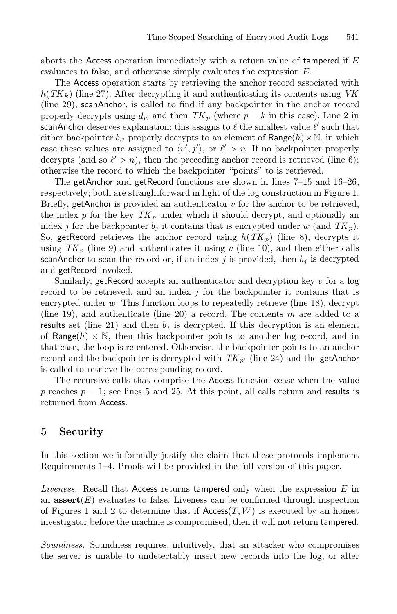aborts the Access operation immediately with a return value of tampered if  $E$ evaluates to false, and otherwise simply evaluates the expression E.

The Access operation starts by retrieving the anchor record associated with  $h(TK_k)$  (line 27). After decrypting it and authenticating its contents using *VK* (line 29), scanAnchor, is called to find if any backpointer in the anchor record properly decrypts using  $d_w$  and then  $TK_p$  (where  $p = k$  in this case). Line 2 in scanAnchor deserves explanation: this assigns to  $\ell$  the smallest value  $\ell'$  such that either backpointer  $b_{\ell'}$  properly decrypts to an element of  $\text{Range}(h) \times \mathbb{N}$ , in which case these values are assigned to  $\langle v', j' \rangle$ , or  $\ell' > n$ . If no backpointer properly decrypts (and so  $\ell' > n$ ), then the preceding anchor record is retrieved (line 6); otherwise the record to which the backpointer "points" to is retrieved.

The getAnchor and getRecord functions are shown in lines 7–15 and 16–26, respectively; both are straightforward in light of the log construction in Figure 1. Briefly, getAnchor is provided an authenticator  $v$  for the anchor to be retrieved, the index p for the key  $TK_p$  under which it should decrypt, and optionally an index j for the backpointer  $b_j$  it contains that is encrypted under w (and  $TK_p$ ). So, getRecord retrieves the anchor record using  $h(TK_p)$  (line 8), decrypts it using  $TK_p$  (line 9) and authenticates it using v (line 10), and then either calls scanAnchor to scan the record or, if an index  $j$  is provided, then  $b_j$  is decrypted and getRecord invoked.

Similarly, getRecord accepts an authenticator and decryption key v for a log record to be retrieved, and an index j for the backpointer it contains that is encrypted under  $w$ . This function loops to repeatedly retrieve (line 18), decrypt (line 19), and authenticate (line 20) a record. The contents  $m$  are added to a results set (line 21) and then  $b_i$  is decrypted. If this decryption is an element of Range(h)  $\times$  N, then this backpointer points to another log record, and in that case, the loop is re-entered. Otherwise, the backpointer points to an anchor record and the backpointer is decrypted with  $TK_{p'}$  (line 24) and the getAnchor is called to retrieve the corresponding record.

The recursive calls that comprise the Access function cease when the value p reaches  $p = 1$ ; see lines 5 and 25. At this point, all calls return and results is returned from Access.

## **5 Security**

In this section we informally justify the claim that these protocols implement Requirements 1–4. Proofs will be provided in the full version of this paper.

*Liveness.* Recall that Access returns tampered only when the expression E in an  $\operatorname{assert}(E)$  evaluates to false. Liveness can be confirmed through inspection of Figures 1 and 2 to determine that if  $Access(T, W)$  is executed by an honest investigator before the machine is compromised, then it will not return tampered.

*Soundness.* Soundness requires, intuitively, that an attacker who compromises the server is unable to undetectably insert new records into the log, or alter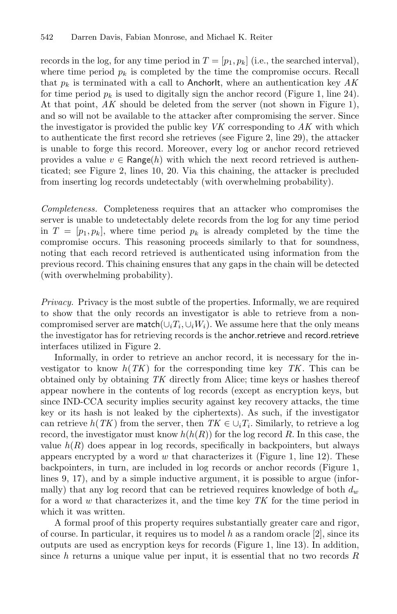records in the log, for any time period in  $T = [p_1, p_k]$  (i.e., the searched interval), where time period  $p_k$  is completed by the time the compromise occurs. Recall that  $p_k$  is terminated with a call to AnchorIt, where an authentication key  $AK$ for time period  $p_k$  is used to digitally sign the anchor record (Figure 1, line 24). At that point, *AK* should be deleted from the server (not shown in Figure 1), and so will not be available to the attacker after compromising the server. Since the investigator is provided the public key *VK* corresponding to *AK* with which to authenticate the first record she retrieves (see Figure 2, line 29), the attacker is unable to forge this record. Moreover, every log or anchor record retrieved provides a value  $v \in \text{Range}(h)$  with which the next record retrieved is authenticated; see Figure 2, lines 10, 20. Via this chaining, the attacker is precluded from inserting log records undetectably (with overwhelming probability).

*Completeness.* Completeness requires that an attacker who compromises the server is unable to undetectably delete records from the log for any time period in  $T = [p_1, p_k]$ , where time period  $p_k$  is already completed by the time the compromise occurs. This reasoning proceeds similarly to that for soundness, noting that each record retrieved is authenticated using information from the previous record. This chaining ensures that any gaps in the chain will be detected (with overwhelming probability).

*Privacy.* Privacy is the most subtle of the properties. Informally, we are required to show that the only records an investigator is able to retrieve from a noncompromised server are match( $\cup_i T_i, \cup_i W_i$ ). We assume here that the only means the investigator has for retrieving records is the anchor.retrieve and record.retrieve interfaces utilized in Figure 2.

Informally, in order to retrieve an anchor record, it is necessary for the investigator to know  $h(TK)$  for the corresponding time key  $TK$ . This can be obtained only by obtaining *TK* directly from Alice; time keys or hashes thereof appear nowhere in the contents of log records (except as encryption keys, but since IND-CCA security implies security against key recovery attacks, the time key or its hash is not leaked by the ciphertexts). As such, if the investigator can retrieve  $h(TK)$  from the server, then  $TK \in \bigcup_i T_i$ . Similarly, to retrieve a log record, the investigator must know  $h(h(R))$  for the log record R. In this case, the value  $h(R)$  does appear in log records, specifically in backpointers, but always appears encrypted by a word  $w$  that characterizes it (Figure 1, line 12). These backpointers, in turn, are included in log records or anchor records (Figure 1, lines 9, 17), and by a simple inductive argument, it is possible to argue (informally) that any log record that can be retrieved requires knowledge of both  $d_w$ for a word w that characterizes it, and the time key *TK* for the time period in which it was written.

A formal proof of this property requires substantially greater care and rigor, of course. In particular, it requires us to model h as a random oracle  $[2]$ , since its outputs are used as encryption keys for records (Figure 1, line 13). In addition, since h returns a unique value per input, it is essential that no two records  $R$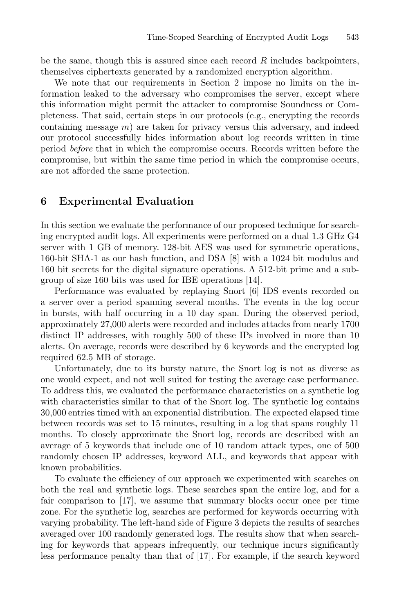be the same, though this is assured since each record  $R$  includes backpointers, themselves ciphertexts generated by a randomized encryption algorithm.

We note that our requirements in Section 2 impose no limits on the information leaked to the adversary who compromises the server, except where this information might permit the attacker to compromise Soundness or Completeness. That said, certain steps in our protocols (e.g., encrypting the records containing message  $m$ ) are taken for privacy versus this adversary, and indeed our protocol successfully hides information about log records written in time period *before* that in which the compromise occurs. Records written before the compromise, but within the same time period in which the compromise occurs, are not afforded the same protection.

## **6 Experimental Evaluation**

In this section we evaluate the performance of our proposed technique for searching encrypted audit logs. All experiments were performed on a dual 1.3 GHz G4 server with 1 GB of memory. 128-bit AES was used for symmetric operations, 160-bit SHA-1 as our hash function, and DSA [8] with a 1024 bit modulus and 160 bit secrets for the digital signature operations. A 512-bit prime and a subgroup of size 160 bits was used for IBE operations [14].

Performance was evaluated by replaying Snort [6] IDS events recorded on a server over a period spanning several months. The events in the log occur in bursts, with half occurring in a 10 day span. During the observed period, approximately 27,000 alerts were recorded and includes attacks from nearly 1700 distinct IP addresses, with roughly 500 of these IPs involved in more than 10 alerts. On average, records were described by 6 keywords and the encrypted log required 62.5 MB of storage.

Unfortunately, due to its bursty nature, the Snort log is not as diverse as one would expect, and not well suited for testing the average case performance. To address this, we evaluated the performance characteristics on a synthetic log with characteristics similar to that of the Snort log. The synthetic log contains 30,000 entries timed with an exponential distribution. The expected elapsed time between records was set to 15 minutes, resulting in a log that spans roughly 11 months. To closely approximate the Snort log, records are described with an average of 5 keywords that include one of 10 random attack types, one of 500 randomly chosen IP addresses, keyword ALL, and keywords that appear with known probabilities.

To evaluate the efficiency of our approach we experimented with searches on both the real and synthetic logs. These searches span the entire log, and for a fair comparison to [17], we assume that summary blocks occur once per time zone. For the synthetic log, searches are performed for keywords occurring with varying probability. The left-hand side of Figure 3 depicts the results of searches averaged over 100 randomly generated logs. The results show that when searching for keywords that appears infrequently, our technique incurs significantly less performance penalty than that of [17]. For example, if the search keyword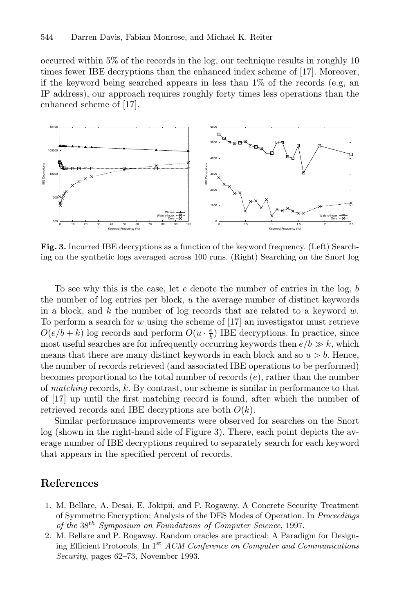occurred within 5% of the records in the log, our technique results in roughly 10 times fewer IBE decryptions than the enhanced index scheme of [17]. Moreover, if the keyword being searched appears in less than  $1\%$  of the records (e.g, an IP address), our approach requires roughly forty times less operations than the enhanced scheme of [17].



**Fig. 3.** Incurred IBE decryptions as a function of the keyword frequency. (Left) Searching on the synthetic logs averaged across 100 runs. (Right) Searching on the Snort log

To see why this is the case, let  $e$  denote the number of entries in the log,  $b$ the number of log entries per block, u the average number of distinct keywords in a block, and k the number of log records that are related to a keyword  $w$ . To perform a search for  $w$  using the scheme of [17] an investigator must retrieve  $O(e/b + k)$  log records and perform  $O(u \cdot \frac{e}{b})$  IBE decryptions. In practice, since most useful searches are for infrequently occurring keywords then  $e/b \gg k$ , which means that there are many distinct keywords in each block and so  $u > b$ . Hence, the number of records retrieved (and associated IBE operations to be performed) becomes proportional to the total number of records  $(e)$ , rather than the number of *matching* records, k. By contrast, our scheme is similar in performance to that of [17] up until the first matching record is found, after which the number of retrieved records and IBE decryptions are both  $O(k)$ .

Similar performance improvements were observed for searches on the Snort log (shown in the right-hand side of Figure 3). There, each point depicts the average number of IBE decryptions required to separately search for each keyword that appears in the specified percent of records.

## **References**

- 1. M. Bellare, A. Desai, E. Jokipii, and P. Rogaway. A Concrete Security Treatment of Symmetric Encryption: Analysis of the DES Modes of Operation. In *Proceedings of the* 38th *Symposium on Foundations of Computer Science*, 1997.
- 2. M. Bellare and P. Rogaway. Random oracles are practical: A Paradigm for Designing Efficient Protocols. In 1st *ACM Conference on Computer and Communications Security*, pages 62–73, November 1993.